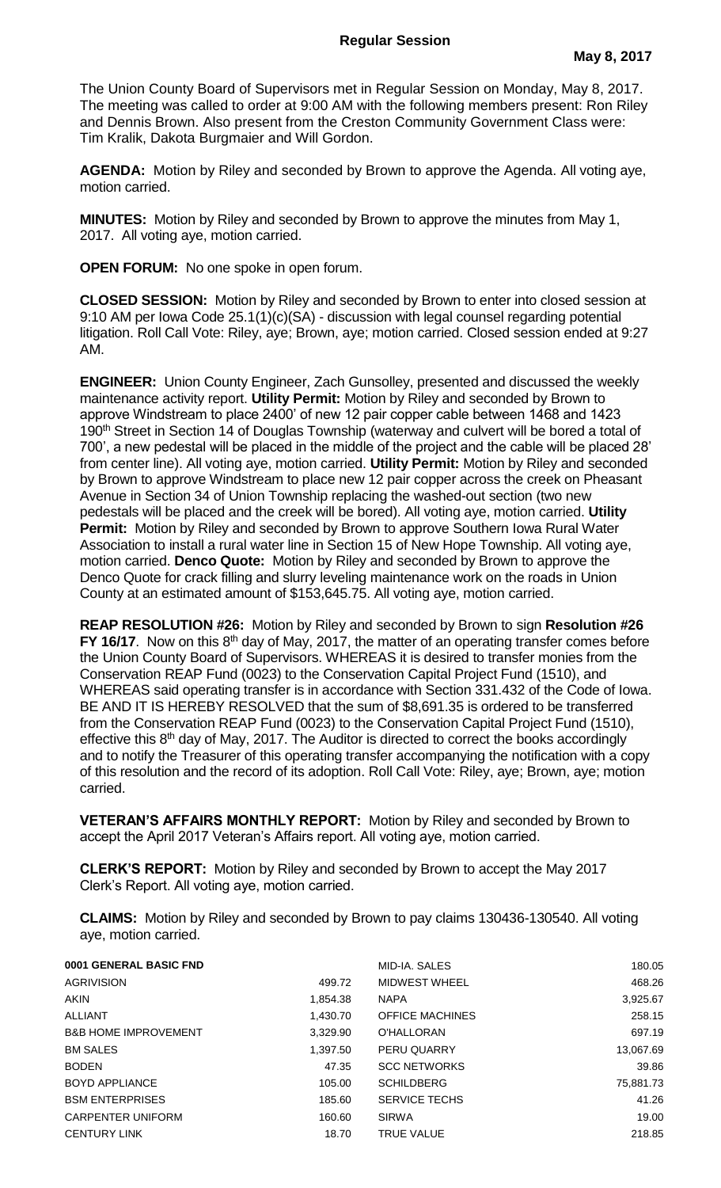The Union County Board of Supervisors met in Regular Session on Monday, May 8, 2017. The meeting was called to order at 9:00 AM with the following members present: Ron Riley and Dennis Brown. Also present from the Creston Community Government Class were: Tim Kralik, Dakota Burgmaier and Will Gordon.

**AGENDA:** Motion by Riley and seconded by Brown to approve the Agenda. All voting aye, motion carried.

**MINUTES:** Motion by Riley and seconded by Brown to approve the minutes from May 1, 2017. All voting aye, motion carried.

**OPEN FORUM:** No one spoke in open forum.

**CLOSED SESSION:** Motion by Riley and seconded by Brown to enter into closed session at 9:10 AM per Iowa Code 25.1(1)(c)(SA) - discussion with legal counsel regarding potential litigation. Roll Call Vote: Riley, aye; Brown, aye; motion carried. Closed session ended at 9:27 AM.

**ENGINEER:** Union County Engineer, Zach Gunsolley, presented and discussed the weekly maintenance activity report. **Utility Permit:** Motion by Riley and seconded by Brown to approve Windstream to place 2400' of new 12 pair copper cable between 1468 and 1423 190<sup>th</sup> Street in Section 14 of Douglas Township (waterway and culvert will be bored a total of 700', a new pedestal will be placed in the middle of the project and the cable will be placed 28' from center line). All voting aye, motion carried. **Utility Permit:** Motion by Riley and seconded by Brown to approve Windstream to place new 12 pair copper across the creek on Pheasant Avenue in Section 34 of Union Township replacing the washed-out section (two new pedestals will be placed and the creek will be bored). All voting aye, motion carried. **Utility Permit:** Motion by Riley and seconded by Brown to approve Southern Iowa Rural Water Association to install a rural water line in Section 15 of New Hope Township. All voting aye, motion carried. **Denco Quote:** Motion by Riley and seconded by Brown to approve the Denco Quote for crack filling and slurry leveling maintenance work on the roads in Union County at an estimated amount of \$153,645.75. All voting aye, motion carried.

**REAP RESOLUTION #26:** Motion by Riley and seconded by Brown to sign **Resolution #26 FY 16/17.** Now on this 8<sup>th</sup> day of May, 2017, the matter of an operating transfer comes before the Union County Board of Supervisors. WHEREAS it is desired to transfer monies from the Conservation REAP Fund (0023) to the Conservation Capital Project Fund (1510), and WHEREAS said operating transfer is in accordance with Section 331.432 of the Code of Iowa. BE AND IT IS HEREBY RESOLVED that the sum of \$8,691.35 is ordered to be transferred from the Conservation REAP Fund (0023) to the Conservation Capital Project Fund (1510), effective this  $8<sup>th</sup>$  day of May, 2017. The Auditor is directed to correct the books accordingly and to notify the Treasurer of this operating transfer accompanying the notification with a copy of this resolution and the record of its adoption. Roll Call Vote: Riley, aye; Brown, aye; motion carried.

**VETERAN'S AFFAIRS MONTHLY REPORT:** Motion by Riley and seconded by Brown to accept the April 2017 Veteran's Affairs report. All voting aye, motion carried.

**CLERK'S REPORT:** Motion by Riley and seconded by Brown to accept the May 2017 Clerk's Report. All voting aye, motion carried.

**CLAIMS:** Motion by Riley and seconded by Brown to pay claims 130436-130540. All voting aye, motion carried.

| 0001 GENERAL BASIC FND          |          | MID-IA, SALES          | 180.05    |
|---------------------------------|----------|------------------------|-----------|
| <b>AGRIVISION</b>               | 499.72   | MIDWEST WHEEL          | 468.26    |
| <b>AKIN</b>                     | 1,854.38 | <b>NAPA</b>            | 3,925.67  |
| ALLIANT                         | 1,430.70 | <b>OFFICE MACHINES</b> | 258.15    |
| <b>B&amp;B HOME IMPROVEMENT</b> | 3,329.90 | <b>O'HALLORAN</b>      | 697.19    |
| <b>BM SALES</b>                 | 1,397.50 | PERU QUARRY            | 13,067.69 |
| <b>BODEN</b>                    | 47.35    | <b>SCC NETWORKS</b>    | 39.86     |
| <b>BOYD APPLIANCE</b>           | 105.00   | <b>SCHILDBERG</b>      | 75,881.73 |
| <b>BSM ENTERPRISES</b>          | 185.60   | <b>SERVICE TECHS</b>   | 41.26     |
| <b>CARPENTER UNIFORM</b>        | 160.60   | <b>SIRWA</b>           | 19.00     |
| <b>CENTURY LINK</b>             | 18.70    | <b>TRUE VALUE</b>      | 218.85    |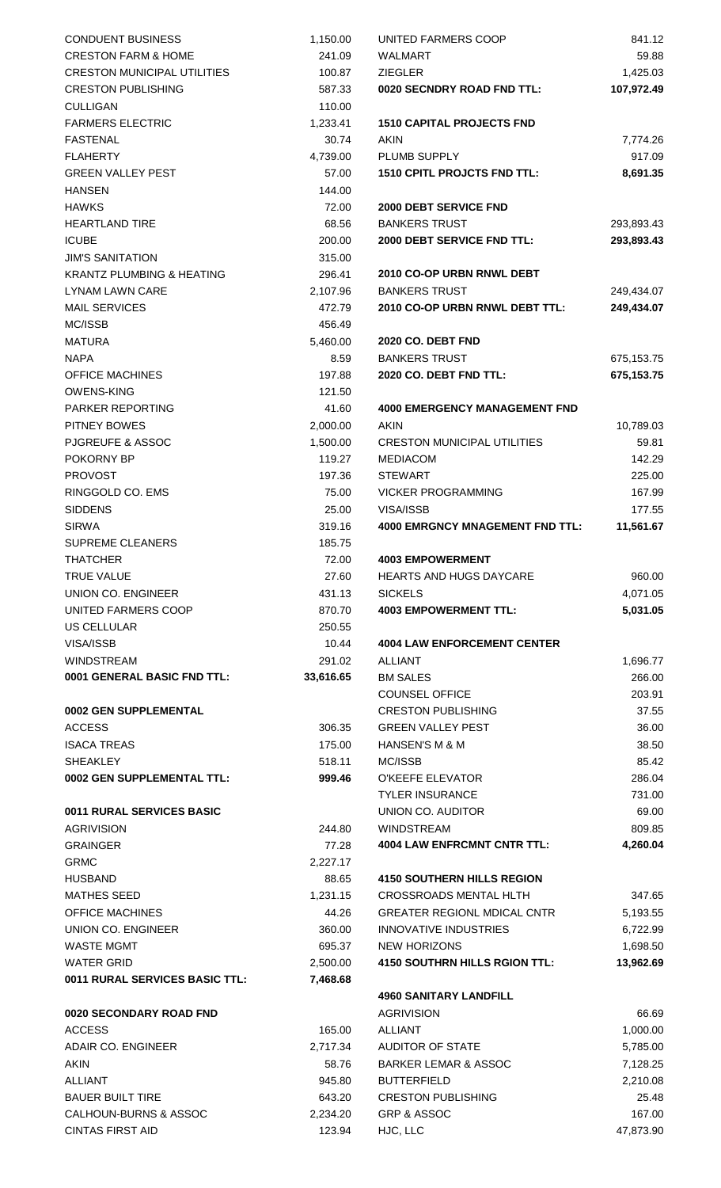| <b>CONDUENT BUSINESS</b>             | 1,150.00  | UNITED FARMERS COOP                    | 841.12     |
|--------------------------------------|-----------|----------------------------------------|------------|
|                                      |           |                                        |            |
| <b>CRESTON FARM &amp; HOME</b>       | 241.09    | WALMART                                | 59.88      |
| <b>CRESTON MUNICIPAL UTILITIES</b>   | 100.87    | <b>ZIEGLER</b>                         | 1,425.03   |
| <b>CRESTON PUBLISHING</b>            | 587.33    | 0020 SECNDRY ROAD FND TTL:             | 107,972.49 |
| <b>CULLIGAN</b>                      | 110.00    |                                        |            |
| <b>FARMERS ELECTRIC</b>              | 1,233.41  | <b>1510 CAPITAL PROJECTS FND</b>       |            |
| <b>FASTENAL</b>                      | 30.74     | AKIN                                   | 7,774.26   |
| <b>FLAHERTY</b>                      | 4,739.00  | PLUMB SUPPLY                           | 917.09     |
| <b>GREEN VALLEY PEST</b>             | 57.00     | <b>1510 CPITL PROJCTS FND TTL:</b>     | 8,691.35   |
| <b>HANSEN</b>                        | 144.00    |                                        |            |
| <b>HAWKS</b>                         | 72.00     | <b>2000 DEBT SERVICE FND</b>           |            |
| <b>HEARTLAND TIRE</b>                | 68.56     | <b>BANKERS TRUST</b>                   | 293,893.43 |
| <b>ICUBE</b>                         | 200.00    | 2000 DEBT SERVICE FND TTL:             | 293,893.43 |
| <b>JIM'S SANITATION</b>              | 315.00    |                                        |            |
| <b>KRANTZ PLUMBING &amp; HEATING</b> | 296.41    | 2010 CO-OP URBN RNWL DEBT              |            |
| <b>LYNAM LAWN CARE</b>               | 2,107.96  | <b>BANKERS TRUST</b>                   | 249,434.07 |
| <b>MAIL SERVICES</b>                 | 472.79    | 2010 CO-OP URBN RNWL DEBT TTL:         | 249,434.07 |
| MC/ISSB                              | 456.49    |                                        |            |
|                                      |           |                                        |            |
| <b>MATURA</b>                        | 5,460.00  | 2020 CO. DEBT FND                      |            |
| <b>NAPA</b>                          | 8.59      | <b>BANKERS TRUST</b>                   | 675,153.75 |
| <b>OFFICE MACHINES</b>               | 197.88    | 2020 CO. DEBT FND TTL:                 | 675,153.75 |
| <b>OWENS-KING</b>                    | 121.50    |                                        |            |
| PARKER REPORTING                     | 41.60     | <b>4000 EMERGENCY MANAGEMENT FND</b>   |            |
| PITNEY BOWES                         | 2,000.00  | <b>AKIN</b>                            | 10,789.03  |
| <b>PJGREUFE &amp; ASSOC</b>          | 1,500.00  | <b>CRESTON MUNICIPAL UTILITIES</b>     | 59.81      |
| POKORNY BP                           | 119.27    | <b>MEDIACOM</b>                        | 142.29     |
| <b>PROVOST</b>                       | 197.36    | <b>STEWART</b>                         | 225.00     |
| RINGGOLD CO. EMS                     | 75.00     | <b>VICKER PROGRAMMING</b>              | 167.99     |
| <b>SIDDENS</b>                       | 25.00     | VISA/ISSB                              | 177.55     |
| <b>SIRWA</b>                         | 319.16    | <b>4000 EMRGNCY MNAGEMENT FND TTL:</b> | 11,561.67  |
| <b>SUPREME CLEANERS</b>              | 185.75    |                                        |            |
| <b>THATCHER</b>                      | 72.00     | <b>4003 EMPOWERMENT</b>                |            |
| <b>TRUE VALUE</b>                    | 27.60     | <b>HEARTS AND HUGS DAYCARE</b>         | 960.00     |
| UNION CO. ENGINEER                   | 431.13    | <b>SICKELS</b>                         | 4,071.05   |
| UNITED FARMERS COOP                  | 870.70    | <b>4003 EMPOWERMENT TTL:</b>           | 5,031.05   |
| US CELLULAR                          | 250.55    |                                        |            |
| VISA/ISSB                            |           | <b>4004 LAW ENFORCEMENT CENTER</b>     |            |
|                                      | 10.44     |                                        |            |
| <b>WINDSTREAM</b>                    | 291.02    | <b>ALLIANT</b>                         | 1,696.77   |
| 0001 GENERAL BASIC FND TTL:          | 33,616.65 | <b>BM SALES</b>                        | 266.00     |
|                                      |           | <b>COUNSEL OFFICE</b>                  | 203.91     |
| 0002 GEN SUPPLEMENTAL                |           | <b>CRESTON PUBLISHING</b>              | 37.55      |
| <b>ACCESS</b>                        | 306.35    | <b>GREEN VALLEY PEST</b>               | 36.00      |
| <b>ISACA TREAS</b>                   | 175.00    | <b>HANSEN'S M &amp; M</b>              | 38.50      |
| <b>SHEAKLEY</b>                      | 518.11    | MC/ISSB                                | 85.42      |
| 0002 GEN SUPPLEMENTAL TTL:           | 999.46    | <b>O'KEEFE ELEVATOR</b>                | 286.04     |
|                                      |           | <b>TYLER INSURANCE</b>                 | 731.00     |
| 0011 RURAL SERVICES BASIC            |           | UNION CO. AUDITOR                      | 69.00      |
| <b>AGRIVISION</b>                    | 244.80    | <b>WINDSTREAM</b>                      | 809.85     |
| <b>GRAINGER</b>                      | 77.28     | <b>4004 LAW ENFRCMNT CNTR TTL:</b>     | 4,260.04   |
| <b>GRMC</b>                          | 2,227.17  |                                        |            |
| <b>HUSBAND</b>                       | 88.65     | <b>4150 SOUTHERN HILLS REGION</b>      |            |
| <b>MATHES SEED</b>                   | 1,231.15  | <b>CROSSROADS MENTAL HLTH</b>          | 347.65     |
| <b>OFFICE MACHINES</b>               | 44.26     | <b>GREATER REGIONL MDICAL CNTR</b>     | 5,193.55   |
| UNION CO. ENGINEER                   | 360.00    | <b>INNOVATIVE INDUSTRIES</b>           | 6,722.99   |
| <b>WASTE MGMT</b>                    | 695.37    | <b>NEW HORIZONS</b>                    | 1,698.50   |
| <b>WATER GRID</b>                    | 2,500.00  | <b>4150 SOUTHRN HILLS RGION TTL:</b>   | 13,962.69  |
| 0011 RURAL SERVICES BASIC TTL:       | 7,468.68  |                                        |            |
|                                      |           | <b>4960 SANITARY LANDFILL</b>          |            |
| 0020 SECONDARY ROAD FND              |           | <b>AGRIVISION</b>                      | 66.69      |
| <b>ACCESS</b>                        | 165.00    | <b>ALLIANT</b>                         |            |
|                                      |           |                                        | 1,000.00   |
| <b>ADAIR CO. ENGINEER</b>            | 2,717.34  | <b>AUDITOR OF STATE</b>                | 5,785.00   |
| <b>AKIN</b>                          | 58.76     | <b>BARKER LEMAR &amp; ASSOC</b>        | 7,128.25   |
| <b>ALLIANT</b>                       | 945.80    | <b>BUTTERFIELD</b>                     | 2,210.08   |
| <b>BAUER BUILT TIRE</b>              | 643.20    | <b>CRESTON PUBLISHING</b>              | 25.48      |
| CALHOUN-BURNS & ASSOC                | 2,234.20  | <b>GRP &amp; ASSOC</b>                 | 167.00     |
| CINITAS FIDST AID                    | 123.04    | HICIIC                                 | 47 072 OO  |

| <b>CONDUENT BUSINESS</b>             | 1,150.00  | UNITED FARMERS COOP                                | 841.12     |
|--------------------------------------|-----------|----------------------------------------------------|------------|
| <b>CRESTON FARM &amp; HOME</b>       | 241.09    | WALMART                                            | 59.88      |
| <b>CRESTON MUNICIPAL UTILITIES</b>   | 100.87    | <b>ZIEGLER</b>                                     | 1,425.03   |
| <b>CRESTON PUBLISHING</b>            | 587.33    | 0020 SECNDRY ROAD FND TTL:                         | 107,972.49 |
| <b>CULLIGAN</b>                      | 110.00    |                                                    |            |
| <b>FARMERS ELECTRIC</b>              | 1,233.41  | <b>1510 CAPITAL PROJECTS FND</b>                   |            |
| <b>FASTENAL</b>                      | 30.74     | AKIN                                               | 7,774.26   |
| <b>FLAHERTY</b>                      | 4,739.00  | PLUMB SUPPLY                                       | 917.09     |
| <b>GREEN VALLEY PEST</b>             | 57.00     | <b>1510 CPITL PROJCTS FND TTL:</b>                 | 8,691.35   |
| <b>HANSEN</b>                        | 144.00    |                                                    |            |
| <b>HAWKS</b>                         | 72.00     | <b>2000 DEBT SERVICE FND</b>                       |            |
| <b>HEARTLAND TIRE</b>                | 68.56     | <b>BANKERS TRUST</b>                               | 293,893.43 |
| <b>ICUBE</b>                         | 200.00    | 2000 DEBT SERVICE FND TTL:                         | 293,893.43 |
| <b>JIM'S SANITATION</b>              | 315.00    |                                                    |            |
| <b>KRANTZ PLUMBING &amp; HEATING</b> | 296.41    | 2010 CO-OP URBN RNWL DEBT                          |            |
| LYNAM LAWN CARE                      | 2,107.96  | <b>BANKERS TRUST</b>                               | 249,434.07 |
| <b>MAIL SERVICES</b>                 | 472.79    | 2010 CO-OP URBN RNWL DEBT TTL:                     | 249,434.07 |
| MC/ISSB                              | 456.49    |                                                    |            |
| <b>MATURA</b>                        | 5,460.00  | 2020 CO. DEBT FND                                  |            |
| <b>NAPA</b>                          | 8.59      | <b>BANKERS TRUST</b>                               | 675,153.75 |
| <b>OFFICE MACHINES</b>               | 197.88    | 2020 CO. DEBT FND TTL:                             | 675,153.75 |
| <b>OWENS-KING</b>                    | 121.50    |                                                    |            |
| <b>PARKER REPORTING</b>              | 41.60     | <b>4000 EMERGENCY MANAGEMENT FND</b>               |            |
| PITNEY BOWES                         | 2,000.00  | <b>AKIN</b>                                        | 10,789.03  |
| PJGREUFE & ASSOC                     | 1,500.00  | <b>CRESTON MUNICIPAL UTILITIES</b>                 | 59.81      |
| POKORNY BP                           | 119.27    | <b>MEDIACOM</b>                                    | 142.29     |
| <b>PROVOST</b>                       | 197.36    | <b>STEWART</b>                                     | 225.00     |
| RINGGOLD CO. EMS                     | 75.00     | <b>VICKER PROGRAMMING</b>                          | 167.99     |
| <b>SIDDENS</b>                       | 25.00     | VISA/ISSB                                          | 177.55     |
| <b>SIRWA</b>                         | 319.16    | <b>4000 EMRGNCY MNAGEMENT FND TTL:</b>             | 11,561.67  |
| SUPREME CLEANERS                     | 185.75    |                                                    |            |
| <b>THATCHER</b>                      | 72.00     | <b>4003 EMPOWERMENT</b>                            |            |
| <b>TRUE VALUE</b>                    | 27.60     | <b>HEARTS AND HUGS DAYCARE</b>                     | 960.00     |
| UNION CO. ENGINEER                   | 431.13    | <b>SICKELS</b>                                     | 4,071.05   |
| UNITED FARMERS COOP                  | 870.70    | <b>4003 EMPOWERMENT TTL:</b>                       | 5,031.05   |
| <b>US CELLULAR</b>                   | 250.55    |                                                    |            |
| VISA/ISSB                            |           | <b>4004 LAW ENFORCEMENT CENTER</b>                 |            |
| <b>WINDSTREAM</b>                    | 10.44     |                                                    |            |
|                                      | 291.02    | ALLIANT                                            | 1,696.77   |
| 0001 GENERAL BASIC FND TTL:          | 33,616.65 | <b>BM SALES</b>                                    | 266.00     |
|                                      |           | <b>COUNSEL OFFICE</b>                              | 203.91     |
| 0002 GEN SUPPLEMENTAL                |           | <b>CRESTON PUBLISHING</b>                          | 37.55      |
| <b>ACCESS</b>                        | 306.35    | <b>GREEN VALLEY PEST</b>                           | 36.00      |
| <b>ISACA TREAS</b>                   | 175.00    | HANSEN'S M & M                                     | 38.50      |
| <b>SHEAKLEY</b>                      | 518.11    | MC/ISSB                                            | 85.42      |
| 0002 GEN SUPPLEMENTAL TTL:           | 999.46    | O'KEEFE ELEVATOR                                   | 286.04     |
|                                      |           | <b>TYLER INSURANCE</b>                             | 731.00     |
| 0011 RURAL SERVICES BASIC            |           | UNION CO. AUDITOR                                  | 69.00      |
| <b>AGRIVISION</b>                    | 244.80    | WINDSTREAM                                         | 809.85     |
| <b>GRAINGER</b>                      | 77.28     | <b>4004 LAW ENFRCMNT CNTR TTL:</b>                 | 4,260.04   |
| <b>GRMC</b>                          | 2,227.17  |                                                    |            |
| <b>HUSBAND</b>                       | 88.65     | <b>4150 SOUTHERN HILLS REGION</b>                  |            |
| <b>MATHES SEED</b>                   | 1,231.15  | CROSSROADS MENTAL HLTH                             | 347.65     |
| <b>OFFICE MACHINES</b>               | 44.26     | <b>GREATER REGIONL MDICAL CNTR</b>                 | 5,193.55   |
| UNION CO. ENGINEER                   | 360.00    | <b>INNOVATIVE INDUSTRIES</b>                       | 6,722.99   |
| <b>WASTE MGMT</b>                    | 695.37    | <b>NEW HORIZONS</b>                                | 1,698.50   |
| <b>WATER GRID</b>                    | 2,500.00  | <b>4150 SOUTHRN HILLS RGION TTL:</b>               | 13,962.69  |
| 0011 RURAL SERVICES BASIC TTL:       | 7,468.68  |                                                    |            |
| 0020 SECONDARY ROAD FND              |           | <b>4960 SANITARY LANDFILL</b><br><b>AGRIVISION</b> | 66.69      |
| <b>ACCESS</b>                        | 165.00    | ALLIANT                                            | 1,000.00   |
| <b>ADAIR CO. ENGINEER</b>            | 2,717.34  | AUDITOR OF STATE                                   | 5,785.00   |
|                                      |           |                                                    |            |
| <b>AKIN</b>                          | 58.76     | <b>BARKER LEMAR &amp; ASSOC</b>                    | 7,128.25   |
| <b>ALLIANT</b>                       | 945.80    | <b>BUTTERFIELD</b>                                 | 2,210.08   |
| <b>BAUER BUILT TIRE</b>              | 643.20    | <b>CRESTON PUBLISHING</b>                          | 25.48      |
| CALHOUN-BURNS & ASSOC                | 2,234.20  | GRP & ASSOC                                        | 167.00     |
| <b>CINTAS FIRST AID</b>              | 123.94    | HJC, LLC                                           | 47,873.90  |